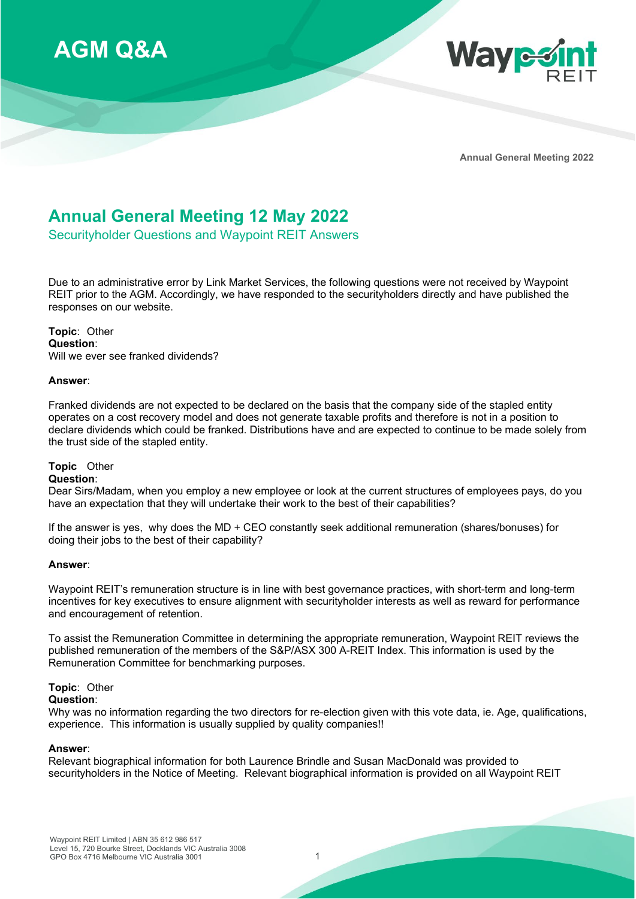



**Annual General Meeting 2022**

# **Annual General Meeting 12 May 2022**

Securityholder Questions and Waypoint REIT Answers

Due to an administrative error by Link Market Services, the following questions were not received by Waypoint REIT prior to the AGM. Accordingly, we have responded to the securityholders directly and have published the responses on our website.

**Topic**: Other **Question**: Will we ever see franked dividends?

# **Answer**:

Franked dividends are not expected to be declared on the basis that the company side of the stapled entity operates on a cost recovery model and does not generate taxable profits and therefore is not in a position to declare dividends which could be franked. Distributions have and are expected to continue to be made solely from the trust side of the stapled entity.

# **Topic** Other

# **Question**:

Dear Sirs/Madam, when you employ a new employee or look at the current structures of employees pays, do you have an expectation that they will undertake their work to the best of their capabilities?

If the answer is yes, why does the MD + CEO constantly seek additional remuneration (shares/bonuses) for doing their jobs to the best of their capability?

#### **Answer**:

Waypoint REIT's remuneration structure is in line with best governance practices, with short-term and long-term incentives for key executives to ensure alignment with securityholder interests as well as reward for performance and encouragement of retention.

To assist the Remuneration Committee in determining the appropriate remuneration, Waypoint REIT reviews the published remuneration of the members of the S&P/ASX 300 A-REIT Index. This information is used by the Remuneration Committee for benchmarking purposes.

# **Topic**: Other

# **Question**:

Why was no information regarding the two directors for re-election given with this vote data, ie. Age, qualifications, experience. This information is usually supplied by quality companies!!

1

# **Answer**:

Relevant biographical information for both Laurence Brindle and Susan MacDonald was provided to securityholders in the Notice of Meeting. Relevant biographical information is provided on all Waypoint REIT